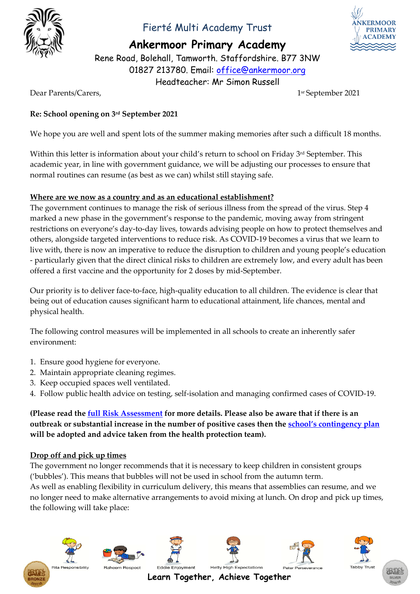

## Fierté Multi Academy Trust



**Ankermoor Primary Academy**

Rene Road, Bolehall, Tamworth. Staffordshire. B77 3NW 01827 213780. Email: [office@ankermoor.org](mailto:office@ankermoor.org) Headteacher: Mr Simon Russell

Dear Parents/Carers,

sr September 2021

#### **Re: School opening on 3rd September 2021**

We hope you are well and spent lots of the summer making memories after such a difficult 18 months.

Within this letter is information about your child's return to school on Friday 3 rd September. This academic year, in line with government guidance, we will be adjusting our processes to ensure that normal routines can resume (as best as we can) whilst still staying safe.

#### **Where are we now as a country and as an educational establishment?**

The government continues to manage the risk of serious illness from the spread of the virus. Step 4 marked a new phase in the government's response to the pandemic, moving away from stringent restrictions on everyone's day-to-day lives, towards advising people on how to protect themselves and others, alongside targeted interventions to reduce risk. As COVID-19 becomes a virus that we learn to live with, there is now an imperative to reduce the disruption to children and young people's education - particularly given that the direct clinical risks to children are extremely low, and every adult has been offered a first vaccine and the opportunity for 2 doses by mid-September.

Our priority is to deliver face-to-face, high-quality education to all children. The evidence is clear that being out of education causes significant harm to educational attainment, life chances, mental and physical health.

The following control measures will be implemented in all schools to create an inherently safer environment:

- 1. Ensure good hygiene for everyone.
- 2. Maintain appropriate cleaning regimes.
- 3. Keep occupied spaces well ventilated.
- 4. Follow public health advice on testing, self-isolation and managing confirmed cases of COVID-19.

**(Please read the [full Risk Assessment](https://www.ankermoor.org/attachments/download.asp?file=2567&type=pdf) for more details. Please also be aware that if there is an outbreak or substantial increase in the number of positive cases then the [school's contingency plan](https://www.ankermoor.org/attachments/download.asp?file=2568&type=pdf) will be adopted and advice taken from the health protection team).**

#### **Drop off and pick up times**

The government no longer recommends that it is necessary to keep children in consistent groups ('bubbles'). This means that bubbles will not be used in school from the autumn term. As well as enabling flexibility in curriculum delivery, this means that assemblies can resume, and we

no longer need to make alternative arrangements to avoid mixing at lunch. On drop and pick up times, the following will take place:







**Eddie Enjoyment** 







**Tabby Trus** 



**Learn Together, Achieve Together**